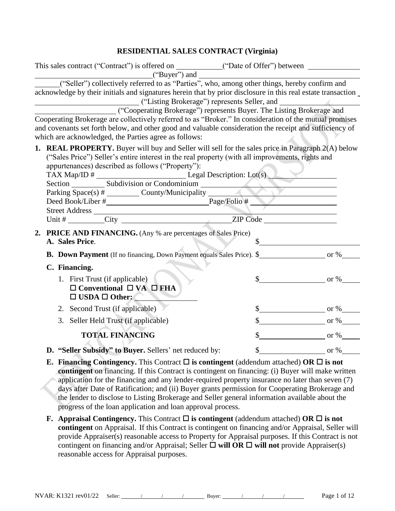### **RESIDENTIAL SALES CONTRACT (Virginia)**

|                                                                       | This sales contract ("Contract") is offered on ____________("Date of Offer") between _______________                                                                                                                                                                                                                                                                                                                                                                                                                   |                                  |
|-----------------------------------------------------------------------|------------------------------------------------------------------------------------------------------------------------------------------------------------------------------------------------------------------------------------------------------------------------------------------------------------------------------------------------------------------------------------------------------------------------------------------------------------------------------------------------------------------------|----------------------------------|
|                                                                       | ("Buyer") and<br>("Seller") collectively referred to as "Parties", who, among other things, hereby confirm and                                                                                                                                                                                                                                                                                                                                                                                                         |                                  |
|                                                                       | acknowledge by their initials and signatures herein that by prior disclosure in this real estate transaction _                                                                                                                                                                                                                                                                                                                                                                                                         |                                  |
|                                                                       | ("Cooperating Brokerage") represents Buyer. The Listing Brokerage and                                                                                                                                                                                                                                                                                                                                                                                                                                                  |                                  |
|                                                                       | Cooperating Brokerage are collectively referred to as "Broker." In consideration of the mutual promises                                                                                                                                                                                                                                                                                                                                                                                                                |                                  |
|                                                                       | and covenants set forth below, and other good and valuable consideration the receipt and sufficiency of                                                                                                                                                                                                                                                                                                                                                                                                                |                                  |
| which are acknowledged, the Parties agree as follows:                 |                                                                                                                                                                                                                                                                                                                                                                                                                                                                                                                        |                                  |
| appurtenances) described as follows ("Property"):                     | <b>1. REAL PROPERTY.</b> Buyer will buy and Seller will sell for the sales price in Paragraph 2(A) below<br>("Sales Price") Seller's entire interest in the real property (with all improvements, rights and                                                                                                                                                                                                                                                                                                           |                                  |
|                                                                       |                                                                                                                                                                                                                                                                                                                                                                                                                                                                                                                        |                                  |
|                                                                       |                                                                                                                                                                                                                                                                                                                                                                                                                                                                                                                        |                                  |
|                                                                       |                                                                                                                                                                                                                                                                                                                                                                                                                                                                                                                        |                                  |
|                                                                       | 2. PRICE AND FINANCING. (Any % are percentages of Sales Price)                                                                                                                                                                                                                                                                                                                                                                                                                                                         |                                  |
| A. Sales Price.                                                       |                                                                                                                                                                                                                                                                                                                                                                                                                                                                                                                        | $\frac{1}{2}$                    |
|                                                                       | <b>B.</b> Down Payment (If no financing, Down Payment equals Sales Price). \$                                                                                                                                                                                                                                                                                                                                                                                                                                          |                                  |
| C. Financing.                                                         |                                                                                                                                                                                                                                                                                                                                                                                                                                                                                                                        |                                  |
| 1. First Trust (if applicable)                                        |                                                                                                                                                                                                                                                                                                                                                                                                                                                                                                                        | $\text{\$\$}$ or %               |
| $\Box$ Conventional $\Box$ VA $\Box$ FHA<br>$\Box$ USDA $\Box$ Other: |                                                                                                                                                                                                                                                                                                                                                                                                                                                                                                                        |                                  |
| 2. Second Trust (if applicable)                                       |                                                                                                                                                                                                                                                                                                                                                                                                                                                                                                                        | $\frac{\text{I}}{\text{I}}$ or % |
| 3. Seller Held Trust (if applicable)                                  |                                                                                                                                                                                                                                                                                                                                                                                                                                                                                                                        | $\frac{\text{S}}{\text{S}}$ or % |
| <b>TOTAL FINANCING</b>                                                |                                                                                                                                                                                                                                                                                                                                                                                                                                                                                                                        | $\frac{\text{S}}{\text{S}}$ or % |
|                                                                       | D. "Seller Subsidy" to Buyer. Sellers' net reduced by:                                                                                                                                                                                                                                                                                                                                                                                                                                                                 | \$<br>or $%$                     |
|                                                                       | <b>E.</b> Financing Contingency. This Contract $\Box$ is contingent (addendum attached) OR $\Box$ is not<br>contingent on financing. If this Contract is contingent on financing: (i) Buyer will make written<br>application for the financing and any lender-required property insurance no later than seven (7)<br>days after Date of Ratification; and (ii) Buyer grants permission for Cooperating Brokerage and<br>the lender to disclose to Listing Brokerage and Seller general information available about the |                                  |

- progress of the loan application and loan approval process. **F.** Appraisal Contingency. This Contract  $\Box$  is contingent (addendum attached) OR  $\Box$  is not
- **contingent** on Appraisal. If this Contract is contingent on financing and/or Appraisal, Seller will provide Appraiser(s) reasonable access to Property for Appraisal purposes. If this Contract is not contingent on financing and/or Appraisal; Seller  $\Box$  will OR  $\Box$  will not provide Appraiser(s) reasonable access for Appraisal purposes.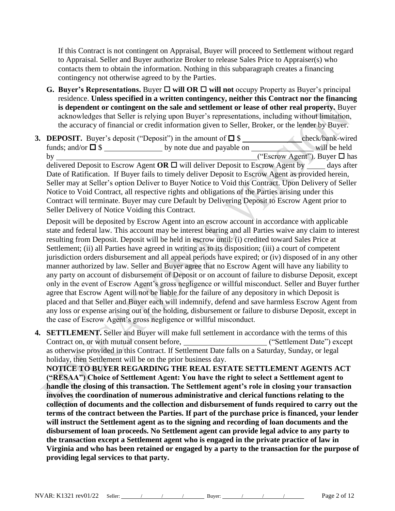If this Contract is not contingent on Appraisal, Buyer will proceed to Settlement without regard to Appraisal. Seller and Buyer authorize Broker to release Sales Price to Appraiser(s) who contacts them to obtain the information. Nothing in this subparagraph creates a financing contingency not otherwise agreed to by the Parties.

- **G.** Buyer's Representations. Buyer  $\Box$  will OR  $\Box$  will not occupy Property as Buyer's principal residence. **Unless specified in a written contingency, neither this Contract nor the financing is dependent or contingent on the sale and settlement or lease of other real property.** Buyer acknowledges that Seller is relying upon Buyer's representations, including without limitation, the accuracy of financial or credit information given to Seller, Broker, or the lender by Buyer.
- **3. DEPOSIT.** Buyer's deposit ("Deposit") in the amount of \$ check/bank-wired funds; and/or  $\Box$  \$ by note due and payable on will be held by ("Escrow Agent"). Buyer has delivered Deposit to Escrow Agent  $OR \square$  will deliver Deposit to Escrow Agent by  $\blacksquare$  days after Date of Ratification. If Buyer fails to timely deliver Deposit to Escrow Agent as provided herein, Seller may at Seller's option Deliver to Buyer Notice to Void this Contract. Upon Delivery of Seller Notice to Void Contract, all respective rights and obligations of the Parties arising under this Contract will terminate. Buyer may cure Default by Delivering Deposit to Escrow Agent prior to Seller Delivery of Notice Voiding this Contract.

Deposit will be deposited by Escrow Agent into an escrow account in accordance with applicable state and federal law. This account may be interest bearing and all Parties waive any claim to interest resulting from Deposit. Deposit will be held in escrow until: (i) credited toward Sales Price at Settlement; (ii) all Parties have agreed in writing as to its disposition; (iii) a court of competent jurisdiction orders disbursement and all appeal periods have expired; or (iv) disposed of in any other manner authorized by law. Seller and Buyer agree that no Escrow Agent will have any liability to any party on account of disbursement of Deposit or on account of failure to disburse Deposit, except only in the event of Escrow Agent's gross negligence or willful misconduct. Seller and Buyer further agree that Escrow Agent will not be liable for the failure of any depository in which Deposit is placed and that Seller and Buyer each will indemnify, defend and save harmless Escrow Agent from any loss or expense arising out of the holding, disbursement or failure to disburse Deposit, except in the case of Escrow Agent's gross negligence or willful misconduct.

**4. SETTLEMENT.** Seller and Buyer will make full settlement in accordance with the terms of this Contract on, or with mutual consent before, \_\_\_\_\_\_\_\_\_\_\_\_\_\_\_\_\_\_\_\_\_\_\_\_\_\_\_("Settlement Date") except as otherwise provided in this Contract. If Settlement Date falls on a Saturday, Sunday, or legal holiday, then Settlement will be on the prior business day.

**NOTICE TO BUYER REGARDING THE REAL ESTATE SETTLEMENT AGENTS ACT ("RESAA") Choice of Settlement Agent: You have the right to select a Settlement agent to handle the closing of this transaction. The Settlement agent's role in closing your transaction involves the coordination of numerous administrative and clerical functions relating to the collection of documents and the collection and disbursement of funds required to carry out the terms of the contract between the Parties. If part of the purchase price is financed, your lender will instruct the Settlement agent as to the signing and recording of loan documents and the disbursement of loan proceeds. No Settlement agent can provide legal advice to any party to the transaction except a Settlement agent who is engaged in the private practice of law in Virginia and who has been retained or engaged by a party to the transaction for the purpose of providing legal services to that party.**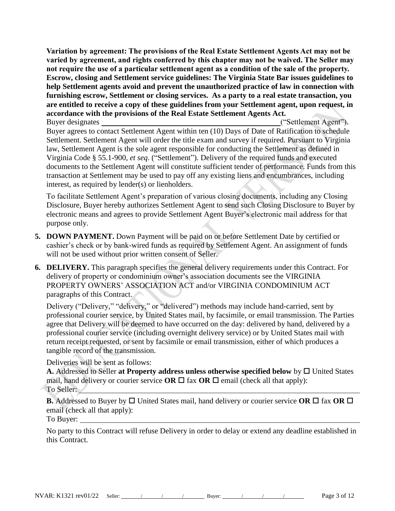**Variation by agreement: The provisions of the Real Estate Settlement Agents Act may not be varied by agreement, and rights conferred by this chapter may not be waived. The Seller may not require the use of a particular settlement agent as a condition of the sale of the property. Escrow, closing and Settlement service guidelines: The Virginia State Bar issues guidelines to help Settlement agents avoid and prevent the unauthorized practice of law in connection with furnishing escrow, Settlement or closing services. As a party to a real estate transaction, you are entitled to receive a copy of these guidelines from your Settlement agent, upon request, in accordance with the provisions of the Real Estate Settlement Agents Act.**

Buyer designates ("Settlement Agent"). Buyer agrees to contact Settlement Agent within ten (10) Days of Date of Ratification to schedule Settlement. Settlement Agent will order the title exam and survey if required. Pursuant to Virginia law, Settlement Agent is the sole agent responsible for conducting the Settlement as defined in Virginia Code § 55.1-900, *et seq*. ("Settlement"). Delivery of the required funds and executed documents to the Settlement Agent will constitute sufficient tender of performance. Funds from this transaction at Settlement may be used to pay off any existing liens and encumbrances, including interest, as required by lender(s) or lienholders.

To facilitate Settlement Agent's preparation of various closing documents, including any Closing Disclosure, Buyer hereby authorizes Settlement Agent to send such Closing Disclosure to Buyer by electronic means and agrees to provide Settlement Agent Buyer's electronic mail address for that purpose only.

- **5. DOWN PAYMENT.** Down Payment will be paid on or before Settlement Date by certified or cashier's check or by bank-wired funds as required by Settlement Agent. An assignment of funds will not be used without prior written consent of Seller.
- **6. DELIVERY.** This paragraph specifies the general delivery requirements under this Contract. For delivery of property or condominium owner's association documents see the VIRGINIA PROPERTY OWNERS' ASSOCIATION ACT and/or VIRGINIA CONDOMINIUM ACT paragraphs of this Contract.

Delivery ("Delivery," "delivery," or "delivered") methods may include hand-carried, sent by professional courier service, by United States mail, by facsimile, or email transmission. The Parties agree that Delivery will be deemed to have occurred on the day: delivered by hand, delivered by a professional courier service (including overnight delivery service) or by United States mail with return receipt requested, or sent by facsimile or email transmission, either of which produces a tangible record of the transmission.

Deliveries will be sent as follows:

A. Addressed to Seller at Property address unless otherwise specified below by  $\Box$  United States mail, hand delivery or courier service **OR**  $\Box$  fax **OR**  $\Box$  email (check all that apply): To Seller:

**B.** Addressed to Buyer by  $\Box$  United States mail, hand delivery or courier service OR  $\Box$  fax OR  $\Box$ email (check all that apply):

To Buyer:

No party to this Contract will refuse Delivery in order to delay or extend any deadline established in this Contract.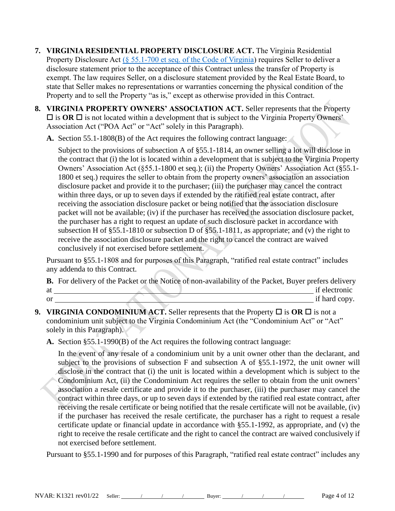- **7. VIRGINIA RESIDENTIAL PROPERTY DISCLOSURE ACT.** The Virginia Residential Property Disclosure Act [\(§ 55.1-700 et seq. of the Code of Virginia\)](https://law.lis.virginia.gov/vacode/title55.1/chapter7/) requires Seller to deliver a disclosure statement prior to the acceptance of this Contract unless the transfer of Property is exempt. The law requires Seller, on a disclosure statement provided by the Real Estate Board, to state that Seller makes no representations or warranties concerning the physical condition of the Property and to sell the Property "as is," except as otherwise provided in this Contract.
- **8. VIRGINIA PROPERTY OWNERS' ASSOCIATION ACT.** Seller represents that the Property  $\Box$  is **OR**  $\Box$  is not located within a development that is subject to the Virginia Property Owners' Association Act ("POA Act" or "Act" solely in this Paragraph).
	- **A.** Section 55.1-1808(B) of the Act requires the following contract language:

Subject to the provisions of subsection A of §55.1-1814, an owner selling a lot will disclose in the contract that (i) the lot is located within a development that is subject to the Virginia Property Owners' Association Act (§55.1-1800 et seq.); (ii) the Property Owners' Association Act (§55.1- 1800 et seq.) requires the seller to obtain from the property owners' association an association disclosure packet and provide it to the purchaser; (iii) the purchaser may cancel the contract within three days, or up to seven days if extended by the ratified real estate contract, after receiving the association disclosure packet or being notified that the association disclosure packet will not be available; (iv) if the purchaser has received the association disclosure packet, the purchaser has a right to request an update of such disclosure packet in accordance with subsection H of §55.1-1810 or subsection D of §55.1-1811, as appropriate; and (v) the right to receive the association disclosure packet and the right to cancel the contract are waived conclusively if not exercised before settlement.

Pursuant to §55.1-1808 and for purposes of this Paragraph, "ratified real estate contract" includes any addenda to this Contract.

**B.** For delivery of the Packet or the Notice of non-availability of the Packet, Buyer prefers delivery at if electronic or if hard copy.

**9. VIRGINIA CONDOMINIUM ACT.** Seller represents that the Property  $\Box$  is **OR**  $\Box$  is not a condominium unit subject to the Virginia Condominium Act (the "Condominium Act" or "Act" solely in this Paragraph).

**A.** Section §55.1-1990(B) of the Act requires the following contract language:

In the event of any resale of a condominium unit by a unit owner other than the declarant, and subject to the provisions of subsection F and subsection A of §55.1-1972, the unit owner will disclose in the contract that (i) the unit is located within a development which is subject to the Condominium Act, (ii) the Condominium Act requires the seller to obtain from the unit owners' association a resale certificate and provide it to the purchaser, (iii) the purchaser may cancel the contract within three days, or up to seven days if extended by the ratified real estate contract, after receiving the resale certificate or being notified that the resale certificate will not be available, (iv) if the purchaser has received the resale certificate, the purchaser has a right to request a resale certificate update or financial update in accordance with §55.1-1992, as appropriate, and (v) the right to receive the resale certificate and the right to cancel the contract are waived conclusively if not exercised before settlement.

Pursuant to §55.1-1990 and for purposes of this Paragraph, "ratified real estate contract" includes any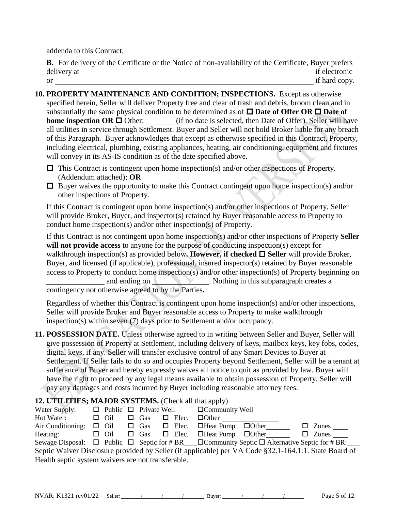addenda to this Contract.

**B.** For delivery of the Certificate or the Notice of non-availability of the Certificate, Buyer prefers delivery at if electronic or if hard copy.

**10. PROPERTY MAINTENANCE AND CONDITION; INSPECTIONS.** Except as otherwise specified herein, Seller will deliver Property free and clear of trash and debris, broom clean and in substantially the same physical condition to be determined as of  $\square$  **Date of Offer OR**  $\square$  **Date of home inspection OR**  $\Box$  Other: (if no date is selected, then Date of Offer). Seller will have all utilities in service through Settlement. Buyer and Seller will not hold Broker liable for any breach of this Paragraph. Buyer acknowledges that except as otherwise specified in this Contract, Property, including electrical, plumbing, existing appliances, heating, air conditioning, equipment and fixtures will convey in its AS-IS condition as of the date specified above.

- $\Box$  This Contract is contingent upon home inspection(s) and/or other inspections of Property. (Addendum attached); **OR**
- $\Box$  Buyer waives the opportunity to make this Contract contingent upon home inspection(s) and/or other inspections of Property.

If this Contract is contingent upon home inspection(s) and/or other inspections of Property, Seller will provide Broker, Buyer, and inspector(s) retained by Buyer reasonable access to Property to conduct home inspection(s) and/or other inspection(s) of Property.

If this Contract is not contingent upon home inspection(s) and/or other inspections of Property **Seller**  will not provide access to anyone for the purpose of conducting inspection(s) except for walkthrough inspection(s) as provided below. **However, if checked**  $\Box$  **Seller** will provide Broker, Buyer, and licensed (if applicable), professional, insured inspector(s) retained by Buyer reasonable access to Property to conduct home inspection(s) and/or other inspection(s) of Property beginning on and ending on . Nothing in this subparagraph creates a contingency not otherwise agreed to by the Parties**.**

Regardless of whether this Contract is contingent upon home inspection(s) and/or other inspections, Seller will provide Broker and Buyer reasonable access to Property to make walkthrough inspection(s) within seven (7) days prior to Settlement and/or occupancy.

**11. POSSESSION DATE.** Unless otherwise agreed to in writing between Seller and Buyer, Seller will give possession of Property at Settlement, including delivery of keys, mailbox keys, key fobs, codes, digital keys, if any. Seller will transfer exclusive control of any Smart Devices to Buyer at Settlement. If Seller fails to do so and occupies Property beyond Settlement, Seller will be a tenant at sufferance of Buyer and hereby expressly waives all notice to quit as provided by law. Buyer will have the right to proceed by any legal means available to obtain possession of Property. Seller will pay any damages and costs incurred by Buyer including reasonable attorney fees.

## **12. UTILITIES; MAJOR SYSTEMS.** (Check all that apply)

| Water Supply:                                                                                                   |  |            |  |            |  |              | $\Box$ Public $\Box$ Private Well $\Box$ Community Well          |  |                     |
|-----------------------------------------------------------------------------------------------------------------|--|------------|--|------------|--|--------------|------------------------------------------------------------------|--|---------------------|
| Hot Water:                                                                                                      |  | $\Box$ Oil |  | $\Box$ Gas |  | $\Box$ Elec. | $\Box$ Other                                                     |  |                     |
| Air Conditioning:                                                                                               |  |            |  |            |  |              | $\Box$ Oil $\Box$ Gas $\Box$ Elec. $\Box$ Heat Pump $\Box$ Other |  | $\Box$ Zones $\_\_$ |
| Heating:                                                                                                        |  | $\Box$ Oil |  |            |  |              | $\Box$ Gas $\Box$ Elec. $\Box$ Heat Pump $\Box$ Other            |  | $\Box$ Zones        |
| Sewage Disposal: $\Box$ Public $\Box$ Septic for #BR $\Box$ Community Septic $\Box$ Alternative Septic for #BR: |  |            |  |            |  |              |                                                                  |  |                     |
| Septic Waiver Disclosure provided by Seller (if applicable) per VA Code §32.1-164.1:1. State Board of           |  |            |  |            |  |              |                                                                  |  |                     |
| Health septic system waivers are not transferable.                                                              |  |            |  |            |  |              |                                                                  |  |                     |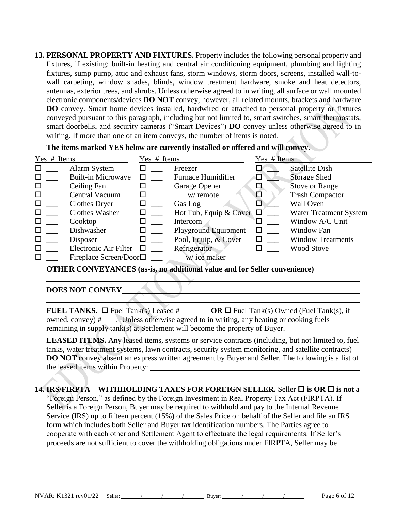**13. PERSONAL PROPERTY AND FIXTURES.** Property includes the following personal property and fixtures, if existing: built-in heating and central air conditioning equipment, plumbing and lighting fixtures, sump pump, attic and exhaust fans, storm windows, storm doors, screens, installed wall-towall carpeting, window shades, blinds, window treatment hardware, smoke and heat detectors, antennas, exterior trees, and shrubs. Unless otherwise agreed to in writing, all surface or wall mounted electronic components/devices **DO NOT** convey; however, all related mounts, brackets and hardware **DO** convey. Smart home devices installed, hardwired or attached to personal property or fixtures conveyed pursuant to this paragraph, including but not limited to, smart switches, smart thermostats, smart doorbells, and security cameras ("Smart Devices") **DO** convey unless otherwise agreed to in writing. If more than one of an item conveys, the number of items is noted.

**The items marked YES below are currently installed or offered and will convey.** 

| Yes # Items |                                 | Yes # Items |                               | Yes # Items |                               |
|-------------|---------------------------------|-------------|-------------------------------|-------------|-------------------------------|
| □           | Alarm System                    |             | Freezer                       |             | <b>Satellite Dish</b>         |
|             | <b>Built-in Microwave</b>       |             | <b>Furnace Humidifier</b>     | ⊔           | <b>Storage Shed</b>           |
|             | Ceiling Fan                     |             | Garage Opener                 | $\Box$      | <b>Stove or Range</b>         |
|             | Central Vacuum                  |             | w/ remote                     | K.          | <b>Trash Compactor</b>        |
|             | <b>Clothes Dryer</b>            | □           | Gas Log                       |             | Wall Oven                     |
|             | <b>Clothes Washer</b>           | □           | Hot Tub, Equip & Cover $\Box$ |             | <b>Water Treatment System</b> |
|             | Cooktop                         |             | Intercom                      |             | Window A/C Unit               |
|             | Dishwasher                      | □           | <b>Playground Equipment</b>   | □           | Window Fan                    |
|             | Disposer                        |             | Pool, Equip, & Cover          | □           | <b>Window Treatments</b>      |
| □           | Electronic Air Filter           |             | Refrigerator                  |             | <b>Wood Stove</b>             |
|             | Fireplace Screen/Door $\square$ |             | w/ice maker                   |             |                               |

**OTHER CONVEYANCES (as-is, no additional value and for Seller convenience)**

#### **DOES NOT CONVEY**

**FUEL TANKS.**  $\Box$  Fuel Tank(s) Leased # **OR**  $\Box$  Fuel Tank(s) Owned (Fuel Tank(s), if owned, convey) # . Unless otherwise agreed to in writing, any heating or cooking fuels remaining in supply tank(s) at Settlement will become the property of Buyer.

LEASED ITEMS. Any leased items, systems or service contracts (including, but not limited to, fuel tanks, water treatment systems, lawn contracts, security system monitoring, and satellite contracts) **DO NOT** convey absent an express written agreement by Buyer and Seller. The following is a list of the leased items within Property:

**14. IRS/FIRPTA – WITHHOLDING TAXES FOR FOREIGN SELLER.** Seller **is OR is not** a "Foreign Person," as defined by the Foreign Investment in Real Property Tax Act (FIRPTA). If Seller is a Foreign Person, Buyer may be required to withhold and pay to the Internal Revenue Service (IRS) up to fifteen percent (15%) of the Sales Price on behalf of the Seller and file an IRS form which includes both Seller and Buyer tax identification numbers. The Parties agree to cooperate with each other and Settlement Agent to effectuate the legal requirements. If Seller's proceeds are not sufficient to cover the withholding obligations under FIRPTA, Seller may be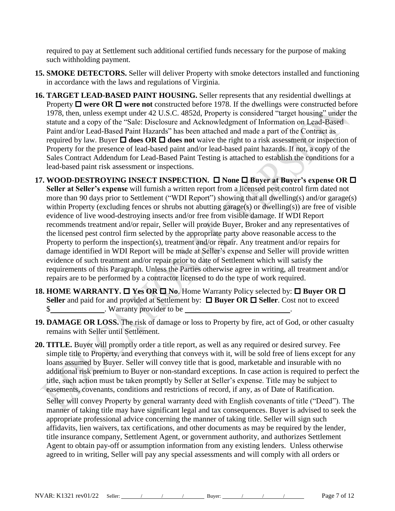required to pay at Settlement such additional certified funds necessary for the purpose of making such withholding payment.

- **15. SMOKE DETECTORS.** Seller will deliver Property with smoke detectors installed and functioning in accordance with the laws and regulations of Virginia.
- **16. TARGET LEAD-BASED PAINT HOUSING.** Seller represents that any residential dwellings at Property  $\Box$  were OR  $\Box$  were not constructed before 1978. If the dwellings were constructed before 1978, then, unless exempt under 42 U.S.C. 4852d, Property is considered "target housing" under the statute and a copy of the "Sale: Disclosure and Acknowledgment of Information on Lead-Based Paint and/or Lead-Based Paint Hazards" has been attached and made a part of the Contract as required by law. Buyer  $\Box$  does OR  $\Box$  does not waive the right to a risk assessment or inspection of Property for the presence of lead-based paint and/or lead-based paint hazards. If not, a copy of the Sales Contract Addendum for Lead-Based Paint Testing is attached to establish the conditions for a lead-based paint risk assessment or inspections.
- **17. WOOD-DESTROYING INSECT INSPECTION. □ None □ Buyer at Buyer's expense OR □ Seller at Seller's expense** will furnish a written report from a licensed pest control firm dated not more than 90 days prior to Settlement ("WDI Report") showing that all dwelling(s) and/or garage(s) within Property (excluding fences or shrubs not abutting garage(s) or dwelling(s)) are free of visible evidence of live wood-destroying insects and/or free from visible damage. If WDI Report recommends treatment and/or repair, Seller will provide Buyer, Broker and any representatives of the licensed pest control firm selected by the appropriate party above reasonable access to the Property to perform the inspection(s), treatment and/or repair. Any treatment and/or repairs for damage identified in WDI Report will be made at Seller's expense and Seller will provide written evidence of such treatment and/or repair prior to date of Settlement which will satisfy the requirements of this Paragraph. Unless the Parties otherwise agree in writing, all treatment and/or repairs are to be performed by a contractor licensed to do the type of work required.
- **18. HOME WARRANTY.**  $\Box$  **Yes OR**  $\Box$  **No. Home Warranty Policy selected by:**  $\Box$  **Buyer OR**  $\Box$ Seller and paid for and provided at Settlement by:  $\Box$  Buyer OR  $\Box$  Seller. Cost not to exceed \$ . Warranty provider to be
- **19. DAMAGE OR LOSS.** The risk of damage or loss to Property by fire, act of God, or other casualty remains with Seller until Settlement.
- **20. TITLE.** Buyer will promptly order a title report, as well as any required or desired survey. Fee simple title to Property, and everything that conveys with it, will be sold free of liens except for any loans assumed by Buyer. Seller will convey title that is good, marketable and insurable with no additional risk premium to Buyer or non-standard exceptions. In case action is required to perfect the title, such action must be taken promptly by Seller at Seller's expense. Title may be subject to easements, covenants, conditions and restrictions of record, if any, as of Date of Ratification.

Seller will convey Property by general warranty deed with English covenants of title ("Deed"). The manner of taking title may have significant legal and tax consequences. Buyer is advised to seek the appropriate professional advice concerning the manner of taking title. Seller will sign such affidavits, lien waivers, tax certifications, and other documents as may be required by the lender, title insurance company, Settlement Agent, or government authority, and authorizes Settlement Agent to obtain pay-off or assumption information from any existing lenders. Unless otherwise agreed to in writing, Seller will pay any special assessments and will comply with all orders or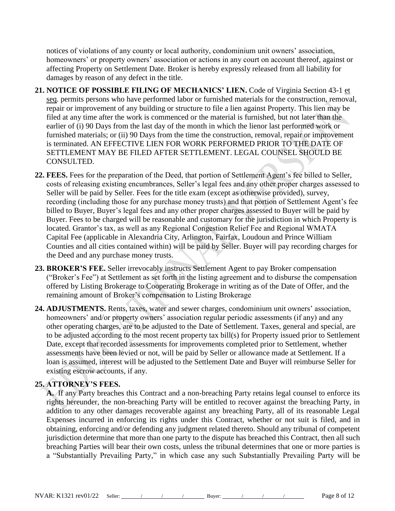notices of violations of any county or local authority, condominium unit owners' association, homeowners' or property owners' association or actions in any court on account thereof, against or affecting Property on Settlement Date. Broker is hereby expressly released from all liability for damages by reason of any defect in the title.

- **21. NOTICE OF POSSIBLE FILING OF MECHANICS' LIEN.** Code of Virginia Section 43-1 et seq. permits persons who have performed labor or furnished materials for the construction, removal, repair or improvement of any building or structure to file a lien against Property. This lien may be filed at any time after the work is commenced or the material is furnished, but not later than the earlier of (i) 90 Days from the last day of the month in which the lienor last performed work or furnished materials; or (ii) 90 Days from the time the construction, removal, repair or improvement is terminated. AN EFFECTIVE LIEN FOR WORK PERFORMED PRIOR TO THE DATE OF SETTLEMENT MAY BE FILED AFTER SETTLEMENT. LEGAL COUNSEL SHOULD BE CONSULTED.
- **22. FEES.** Fees for the preparation of the Deed, that portion of Settlement Agent's fee billed to Seller, costs of releasing existing encumbrances, Seller's legal fees and any other proper charges assessed to Seller will be paid by Seller. Fees for the title exam (except as otherwise provided), survey, recording (including those for any purchase money trusts) and that portion of Settlement Agent's fee billed to Buyer, Buyer's legal fees and any other proper charges assessed to Buyer will be paid by Buyer. Fees to be charged will be reasonable and customary for the jurisdiction in which Property is located. Grantor's tax, as well as any Regional Congestion Relief Fee and Regional WMATA Capital Fee (applicable in Alexandria City, Arlington, Fairfax, Loudoun and Prince William Counties and all cities contained within) will be paid by Seller. Buyer will pay recording charges for the Deed and any purchase money trusts.
- **23. BROKER'S FEE.** Seller irrevocably instructs Settlement Agent to pay Broker compensation ("Broker's Fee") at Settlement as set forth in the listing agreement and to disburse the compensation offered by Listing Brokerage to Cooperating Brokerage in writing as of the Date of Offer, and the remaining amount of Broker's compensation to Listing Brokerage
- **24. ADJUSTMENTS.** Rents, taxes, water and sewer charges, condominium unit owners' association, homeowners' and/or property owners' association regular periodic assessments (if any) and any other operating charges, are to be adjusted to the Date of Settlement. Taxes, general and special, are to be adjusted according to the most recent property tax bill(s) for Property issued prior to Settlement Date, except that recorded assessments for improvements completed prior to Settlement, whether assessments have been levied or not, will be paid by Seller or allowance made at Settlement. If a loan is assumed, interest will be adjusted to the Settlement Date and Buyer will reimburse Seller for existing escrow accounts, if any.

# **25. ATTORNEY'S FEES.**

**A.** If any Party breaches this Contract and a non-breaching Party retains legal counsel to enforce its rights hereunder, the non-breaching Party will be entitled to recover against the breaching Party, in addition to any other damages recoverable against any breaching Party, all of its reasonable Legal Expenses incurred in enforcing its rights under this Contract, whether or not suit is filed, and in obtaining, enforcing and/or defending any judgment related thereto. Should any tribunal of competent jurisdiction determine that more than one party to the dispute has breached this Contract, then all such breaching Parties will bear their own costs, unless the tribunal determines that one or more parties is a "Substantially Prevailing Party," in which case any such Substantially Prevailing Party will be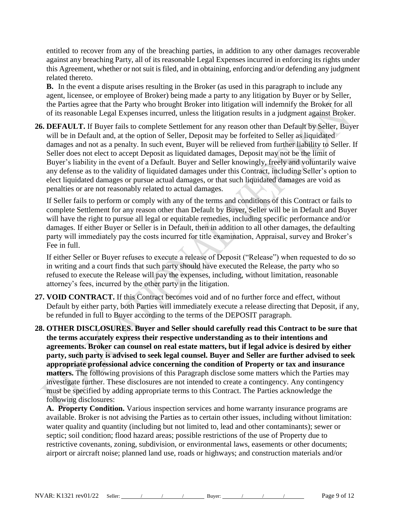entitled to recover from any of the breaching parties, in addition to any other damages recoverable against any breaching Party, all of its reasonable Legal Expenses incurred in enforcing its rights under this Agreement, whether or not suit is filed, and in obtaining, enforcing and/or defending any judgment related thereto.

**B.** In the event a dispute arises resulting in the Broker (as used in this paragraph to include any agent, licensee, or employee of Broker) being made a party to any litigation by Buyer or by Seller, the Parties agree that the Party who brought Broker into litigation will indemnify the Broker for all of its reasonable Legal Expenses incurred, unless the litigation results in a judgment against Broker.

**26. DEFAULT.** If Buyer fails to complete Settlement for any reason other than Default by Seller, Buyer will be in Default and, at the option of Seller, Deposit may be forfeited to Seller as liquidated damages and not as a penalty. In such event, Buyer will be relieved from further liability to Seller. If Seller does not elect to accept Deposit as liquidated damages, Deposit may not be the limit of Buyer's liability in the event of a Default. Buyer and Seller knowingly, freely and voluntarily waive any defense as to the validity of liquidated damages under this Contract, including Seller's option to elect liquidated damages or pursue actual damages, or that such liquidated damages are void as penalties or are not reasonably related to actual damages.

If Seller fails to perform or comply with any of the terms and conditions of this Contract or fails to complete Settlement for any reason other than Default by Buyer, Seller will be in Default and Buyer will have the right to pursue all legal or equitable remedies, including specific performance and/or damages. If either Buyer or Seller is in Default, then in addition to all other damages, the defaulting party will immediately pay the costs incurred for title examination, Appraisal, survey and Broker's Fee in full.

If either Seller or Buyer refuses to execute a release of Deposit ("Release") when requested to do so in writing and a court finds that such party should have executed the Release, the party who so refused to execute the Release will pay the expenses, including, without limitation, reasonable attorney's fees, incurred by the other party in the litigation.

- **27. VOID CONTRACT.** If this Contract becomes void and of no further force and effect, without Default by either party, both Parties will immediately execute a release directing that Deposit, if any, be refunded in full to Buyer according to the terms of the DEPOSIT paragraph.
- **28. OTHER DISCLOSURES. Buyer and Seller should carefully read this Contract to be sure that the terms accurately express their respective understanding as to their intentions and agreements. Broker can counsel on real estate matters, but if legal advice is desired by either party, such party is advised to seek legal counsel. Buyer and Seller are further advised to seek appropriate professional advice concerning the condition of Property or tax and insurance matters.** The following provisions of this Paragraph disclose some matters which the Parties may investigate further. These disclosures are not intended to create a contingency. Any contingency must be specified by adding appropriate terms to this Contract. The Parties acknowledge the following disclosures:

**A. Property Condition.** Various inspection services and home warranty insurance programs are available. Broker is not advising the Parties as to certain other issues, including without limitation: water quality and quantity (including but not limited to, lead and other contaminants); sewer or septic; soil condition; flood hazard areas; possible restrictions of the use of Property due to restrictive covenants, zoning, subdivision, or environmental laws, easements or other documents; airport or aircraft noise; planned land use, roads or highways; and construction materials and/or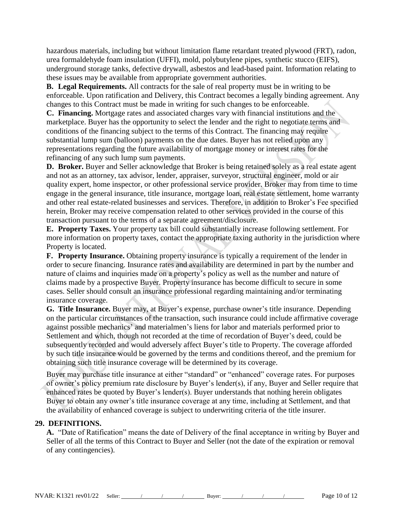hazardous materials, including but without limitation flame retardant treated plywood (FRT), radon, urea formaldehyde foam insulation (UFFI), mold, polybutylene pipes, synthetic stucco (EIFS), underground storage tanks, defective drywall, asbestos and lead-based paint. Information relating to these issues may be available from appropriate government authorities.

**B. Legal Requirements.** All contracts for the sale of real property must be in writing to be enforceable. Upon ratification and Delivery, this Contract becomes a legally binding agreement. Any changes to this Contract must be made in writing for such changes to be enforceable.

**C. Financing.** Mortgage rates and associated charges vary with financial institutions and the marketplace. Buyer has the opportunity to select the lender and the right to negotiate terms and conditions of the financing subject to the terms of this Contract. The financing may require substantial lump sum (balloon) payments on the due dates. Buyer has not relied upon any representations regarding the future availability of mortgage money or interest rates for the refinancing of any such lump sum payments.

**D. Broker.** Buyer and Seller acknowledge that Broker is being retained solely as a real estate agent and not as an attorney, tax advisor, lender, appraiser, surveyor, structural engineer, mold or air quality expert, home inspector, or other professional service provider. Broker may from time to time engage in the general insurance, title insurance, mortgage loan, real estate settlement, home warranty and other real estate-related businesses and services. Therefore, in addition to Broker's Fee specified herein, Broker may receive compensation related to other services provided in the course of this transaction pursuant to the terms of a separate agreement/disclosure.

**E. Property Taxes.** Your property tax bill could substantially increase following settlement. For more information on property taxes, contact the appropriate taxing authority in the jurisdiction where Property is located.

**F. Property Insurance.** Obtaining property insurance is typically a requirement of the lender in order to secure financing. Insurance rates and availability are determined in part by the number and nature of claims and inquiries made on a property's policy as well as the number and nature of claims made by a prospective Buyer. Property insurance has become difficult to secure in some cases. Seller should consult an insurance professional regarding maintaining and/or terminating insurance coverage.

**G. Title Insurance.** Buyer may, at Buyer's expense, purchase owner's title insurance. Depending on the particular circumstances of the transaction, such insurance could include affirmative coverage against possible mechanics' and materialmen's liens for labor and materials performed prior to Settlement and which, though not recorded at the time of recordation of Buyer's deed, could be subsequently recorded and would adversely affect Buyer's title to Property. The coverage afforded by such title insurance would be governed by the terms and conditions thereof, and the premium for obtaining such title insurance coverage will be determined by its coverage.

Buyer may purchase title insurance at either "standard" or "enhanced" coverage rates. For purposes of owner's policy premium rate disclosure by Buyer's lender(s), if any, Buyer and Seller require that enhanced rates be quoted by Buyer's lender(s). Buyer understands that nothing herein obligates Buyer to obtain any owner's title insurance coverage at any time, including at Settlement, and that the availability of enhanced coverage is subject to underwriting criteria of the title insurer.

## **29. DEFINITIONS.**

**A.** "Date of Ratification" means the date of Delivery of the final acceptance in writing by Buyer and Seller of all the terms of this Contract to Buyer and Seller (not the date of the expiration or removal of any contingencies).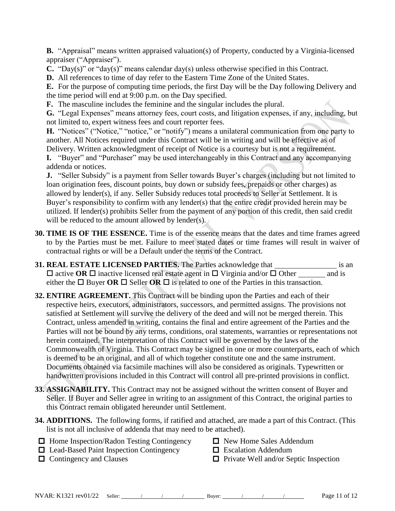**B.** "Appraisal" means written appraised valuation(s) of Property, conducted by a Virginia-licensed appraiser ("Appraiser").

**C.** "Day(s)" or "day(s)" means calendar day(s) unless otherwise specified in this Contract.

**D.** All references to time of day refer to the Eastern Time Zone of the United States.

**E.** For the purpose of computing time periods, the first Day will be the Day following Delivery and the time period will end at 9:00 p.m. on the Day specified.

**F.** The masculine includes the feminine and the singular includes the plural.

**G.** "Legal Expenses" means attorney fees, court costs, and litigation expenses, if any, including, but not limited to, expert witness fees and court reporter fees.

**H.** "Notices" ("Notice," "notice," or "notify") means a unilateral communication from one party to another. All Notices required under this Contract will be in writing and will be effective as of Delivery. Written acknowledgment of receipt of Notice is a courtesy but is not a requirement.

**I.** "Buyer" and "Purchaser" may be used interchangeably in this Contract and any accompanying addenda or notices.

**J.** "Seller Subsidy" is a payment from Seller towards Buyer's charges (including but not limited to loan origination fees, discount points, buy down or subsidy fees, prepaids or other charges) as allowed by lender(s), if any. Seller Subsidy reduces total proceeds to Seller at Settlement. It is Buyer's responsibility to confirm with any lender(s) that the entire credit provided herein may be utilized. If lender(s) prohibits Seller from the payment of any portion of this credit, then said credit will be reduced to the amount allowed by lender(s).

- **30. TIME IS OF THE ESSENCE.** Time is of the essence means that the dates and time frames agreed to by the Parties must be met. Failure to meet stated dates or time frames will result in waiver of contractual rights or will be a Default under the terms of the Contract.
- **31. REAL ESTATE LICENSED PARTIES.** The Parties acknowledge that is an is an  $\Box$  active **OR**  $\Box$  inactive licensed real estate agent in  $\Box$  Virginia and/or  $\Box$  Other and is either the  $\Box$  Buyer **OR**  $\Box$  Seller **OR**  $\Box$  is related to one of the Parties in this transaction.
- **32. ENTIRE AGREEMENT.** This Contract will be binding upon the Parties and each of their respective heirs, executors, administrators, successors, and permitted assigns. The provisions not satisfied at Settlement will survive the delivery of the deed and will not be merged therein. This Contract, unless amended in writing, contains the final and entire agreement of the Parties and the Parties will not be bound by any terms, conditions, oral statements, warranties or representations not herein contained. The interpretation of this Contract will be governed by the laws of the Commonwealth of Virginia. This Contract may be signed in one or more counterparts, each of which is deemed to be an original, and all of which together constitute one and the same instrument. Documents obtained via facsimile machines will also be considered as originals. Typewritten or handwritten provisions included in this Contract will control all pre-printed provisions in conflict.
- **33. ASSIGNABILITY.** This Contract may not be assigned without the written consent of Buyer and Seller. If Buyer and Seller agree in writing to an assignment of this Contract, the original parties to this Contract remain obligated hereunder until Settlement.
- **34. ADDITIONS.** The following forms, if ratified and attached, are made a part of this Contract. (This list is not all inclusive of addenda that may need to be attached).
- $\Box$  Home Inspection/Radon Testing Contingency  $\Box$  New Home Sales Addendum
- $\Box$  Lead-Based Paint Inspection Contingency  $\Box$  Escalation Addendum
- 
- 
- 
- $\Box$  Contingency and Clauses  $\Box$  Private Well and/or Septic Inspection